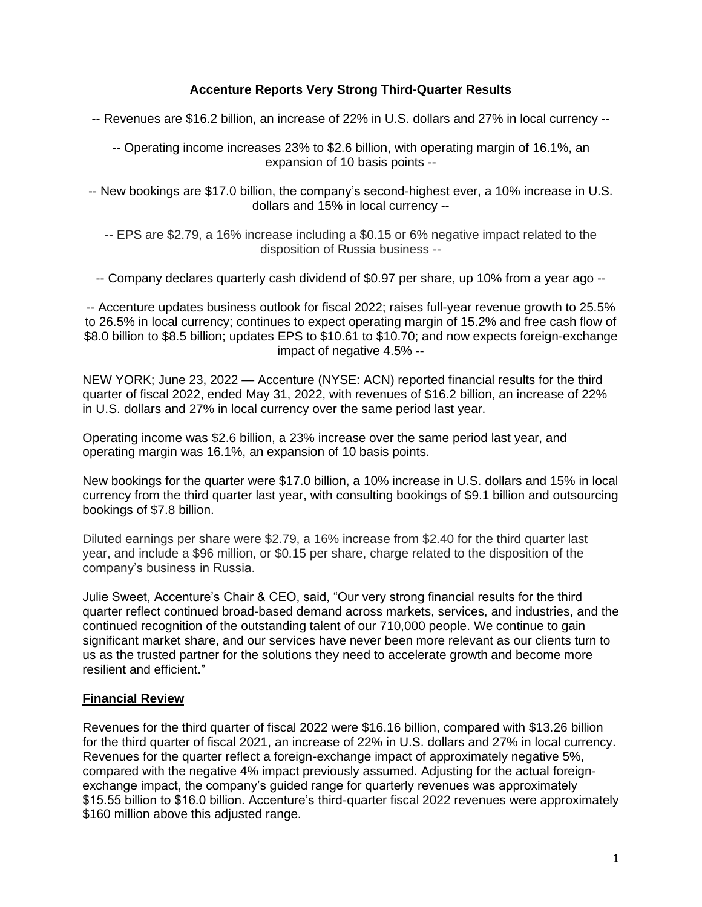## **Accenture Reports Very Strong Third-Quarter Results**

-- Revenues are \$16.2 billion, an increase of 22% in U.S. dollars and 27% in local currency --

-- Operating income increases 23% to \$2.6 billion, with operating margin of 16.1%, an expansion of 10 basis points --

-- New bookings are \$17.0 billion, the company's second-highest ever, a 10% increase in U.S. dollars and 15% in local currency --

-- EPS are \$2.79, a 16% increase including a \$0.15 or 6% negative impact related to the disposition of Russia business --

-- Company declares quarterly cash dividend of \$0.97 per share, up 10% from a year ago --

-- Accenture updates business outlook for fiscal 2022; raises full-year revenue growth to 25.5% to 26.5% in local currency; continues to expect operating margin of 15.2% and free cash flow of \$8.0 billion to \$8.5 billion; updates EPS to \$10.61 to \$10.70; and now expects foreign-exchange impact of negative 4.5% --

NEW YORK; June 23, 2022 — Accenture (NYSE: ACN) reported financial results for the third quarter of fiscal 2022, ended May 31, 2022, with revenues of \$16.2 billion, an increase of 22% in U.S. dollars and 27% in local currency over the same period last year.

Operating income was \$2.6 billion, a 23% increase over the same period last year, and operating margin was 16.1%, an expansion of 10 basis points.

New bookings for the quarter were \$17.0 billion, a 10% increase in U.S. dollars and 15% in local currency from the third quarter last year, with consulting bookings of \$9.1 billion and outsourcing bookings of \$7.8 billion.

Diluted earnings per share were \$2.79, a 16% increase from \$2.40 for the third quarter last year, and include a \$96 million, or \$0.15 per share, charge related to the disposition of the company's business in Russia.

Julie Sweet, Accenture's Chair & CEO, said, "Our very strong financial results for the third quarter reflect continued broad-based demand across markets, services, and industries, and the continued recognition of the outstanding talent of our 710,000 people. We continue to gain significant market share, and our services have never been more relevant as our clients turn to us as the trusted partner for the solutions they need to accelerate growth and become more resilient and efficient."

## **Financial Review**

Revenues for the third quarter of fiscal 2022 were \$16.16 billion, compared with \$13.26 billion for the third quarter of fiscal 2021, an increase of 22% in U.S. dollars and 27% in local currency. Revenues for the quarter reflect a foreign-exchange impact of approximately negative 5%, compared with the negative 4% impact previously assumed. Adjusting for the actual foreignexchange impact, the company's guided range for quarterly revenues was approximately \$15.55 billion to \$16.0 billion. Accenture's third-quarter fiscal 2022 revenues were approximately \$160 million above this adjusted range.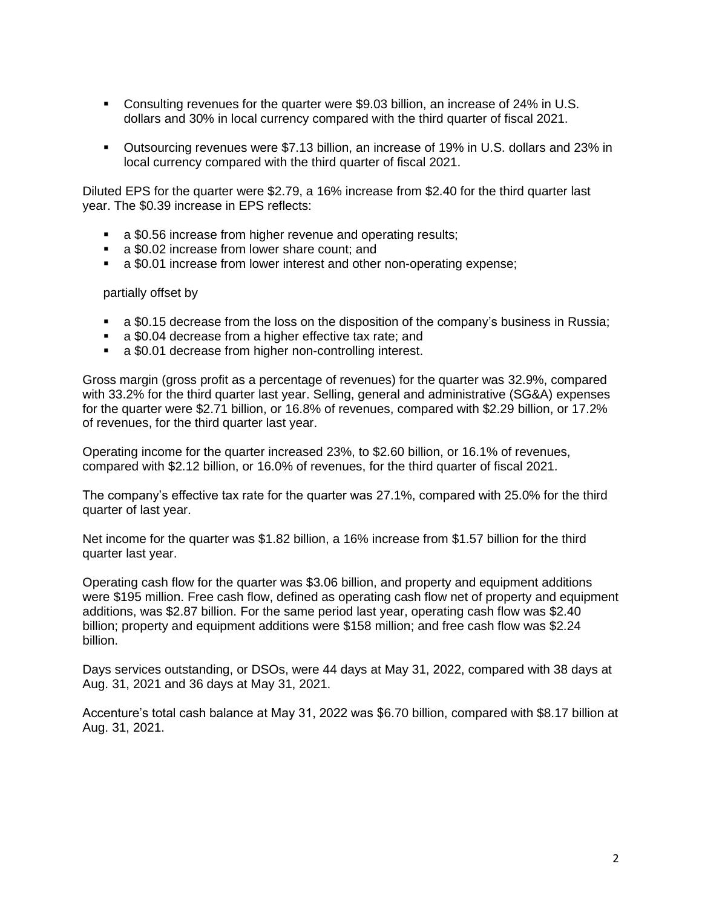- Consulting revenues for the quarter were \$9.03 billion, an increase of 24% in U.S. dollars and 30% in local currency compared with the third quarter of fiscal 2021.
- Outsourcing revenues were \$7.13 billion, an increase of 19% in U.S. dollars and 23% in local currency compared with the third quarter of fiscal 2021.

Diluted EPS for the quarter were \$2.79, a 16% increase from \$2.40 for the third quarter last year. The \$0.39 increase in EPS reflects:

- a \$0.56 increase from higher revenue and operating results;
- a \$0.02 increase from lower share count; and
- a \$0.01 increase from lower interest and other non-operating expense;

partially offset by

- a \$0.15 decrease from the loss on the disposition of the company's business in Russia;
- a \$0.04 decrease from a higher effective tax rate; and
- a \$0.01 decrease from higher non-controlling interest.

Gross margin (gross profit as a percentage of revenues) for the quarter was 32.9%, compared with 33.2% for the third quarter last year. Selling, general and administrative (SG&A) expenses for the quarter were \$2.71 billion, or 16.8% of revenues, compared with \$2.29 billion, or 17.2% of revenues, for the third quarter last year.

Operating income for the quarter increased 23%, to \$2.60 billion, or 16.1% of revenues, compared with \$2.12 billion, or 16.0% of revenues, for the third quarter of fiscal 2021.

The company's effective tax rate for the quarter was 27.1%, compared with 25.0% for the third quarter of last year.

Net income for the quarter was \$1.82 billion, a 16% increase from \$1.57 billion for the third quarter last year.

Operating cash flow for the quarter was \$3.06 billion, and property and equipment additions were \$195 million. Free cash flow, defined as operating cash flow net of property and equipment additions, was \$2.87 billion. For the same period last year, operating cash flow was \$2.40 billion; property and equipment additions were \$158 million; and free cash flow was \$2.24 billion.

Days services outstanding, or DSOs, were 44 days at May 31, 2022, compared with 38 days at Aug. 31, 2021 and 36 days at May 31, 2021.

Accenture's total cash balance at May 31, 2022 was \$6.70 billion, compared with \$8.17 billion at Aug. 31, 2021.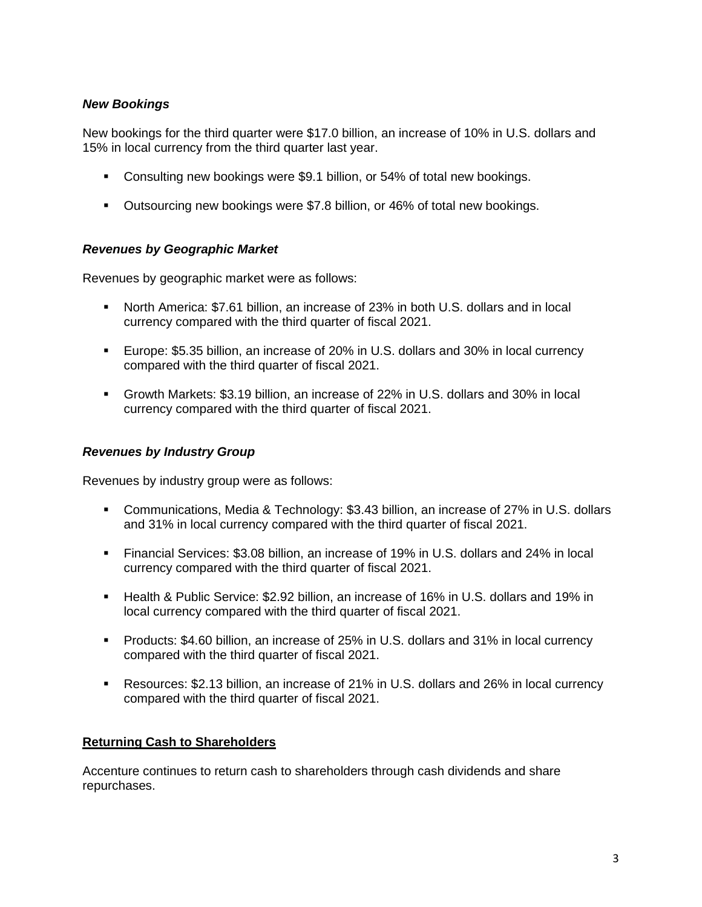## *New Bookings*

New bookings for the third quarter were \$17.0 billion, an increase of 10% in U.S. dollars and 15% in local currency from the third quarter last year.

- Consulting new bookings were \$9.1 billion, or 54% of total new bookings.
- Outsourcing new bookings were \$7.8 billion, or 46% of total new bookings.

## *Revenues by Geographic Market*

Revenues by geographic market were as follows:

- North America: \$7.61 billion, an increase of 23% in both U.S. dollars and in local currency compared with the third quarter of fiscal 2021.
- Europe: \$5.35 billion, an increase of 20% in U.S. dollars and 30% in local currency compared with the third quarter of fiscal 2021.
- Growth Markets: \$3.19 billion, an increase of 22% in U.S. dollars and 30% in local currency compared with the third quarter of fiscal 2021.

## *Revenues by Industry Group*

Revenues by industry group were as follows:

- Communications, Media & Technology: \$3.43 billion, an increase of 27% in U.S. dollars and 31% in local currency compared with the third quarter of fiscal 2021.
- Financial Services: \$3.08 billion, an increase of 19% in U.S. dollars and 24% in local currency compared with the third quarter of fiscal 2021.
- Health & Public Service: \$2.92 billion, an increase of 16% in U.S. dollars and 19% in local currency compared with the third quarter of fiscal 2021.
- Products: \$4.60 billion, an increase of 25% in U.S. dollars and 31% in local currency compared with the third quarter of fiscal 2021.
- Resources: \$2.13 billion, an increase of 21% in U.S. dollars and 26% in local currency compared with the third quarter of fiscal 2021.

## **Returning Cash to Shareholders**

Accenture continues to return cash to shareholders through cash dividends and share repurchases.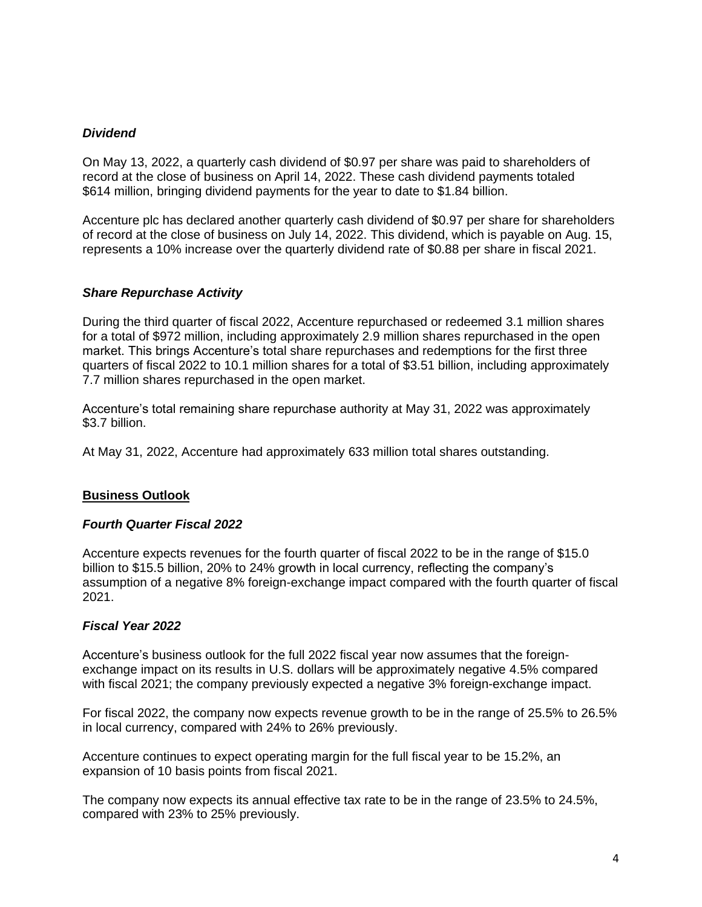## *Dividend*

On May 13, 2022, a quarterly cash dividend of \$0.97 per share was paid to shareholders of record at the close of business on April 14, 2022. These cash dividend payments totaled \$614 million, bringing dividend payments for the year to date to \$1.84 billion.

Accenture plc has declared another quarterly cash dividend of \$0.97 per share for shareholders of record at the close of business on July 14, 2022. This dividend, which is payable on Aug. 15, represents a 10% increase over the quarterly dividend rate of \$0.88 per share in fiscal 2021.

#### *Share Repurchase Activity*

During the third quarter of fiscal 2022, Accenture repurchased or redeemed 3.1 million shares for a total of \$972 million, including approximately 2.9 million shares repurchased in the open market. This brings Accenture's total share repurchases and redemptions for the first three quarters of fiscal 2022 to 10.1 million shares for a total of \$3.51 billion, including approximately 7.7 million shares repurchased in the open market.

Accenture's total remaining share repurchase authority at May 31, 2022 was approximately \$3.7 billion.

At May 31, 2022, Accenture had approximately 633 million total shares outstanding.

## **Business Outlook**

#### *Fourth Quarter Fiscal 2022*

Accenture expects revenues for the fourth quarter of fiscal 2022 to be in the range of \$15.0 billion to \$15.5 billion, 20% to 24% growth in local currency, reflecting the company's assumption of a negative 8% foreign-exchange impact compared with the fourth quarter of fiscal 2021.

#### *Fiscal Year 2022*

Accenture's business outlook for the full 2022 fiscal year now assumes that the foreignexchange impact on its results in U.S. dollars will be approximately negative 4.5% compared with fiscal 2021; the company previously expected a negative 3% foreign-exchange impact.

For fiscal 2022, the company now expects revenue growth to be in the range of 25.5% to 26.5% in local currency, compared with 24% to 26% previously.

Accenture continues to expect operating margin for the full fiscal year to be 15.2%, an expansion of 10 basis points from fiscal 2021.

The company now expects its annual effective tax rate to be in the range of 23.5% to 24.5%, compared with 23% to 25% previously.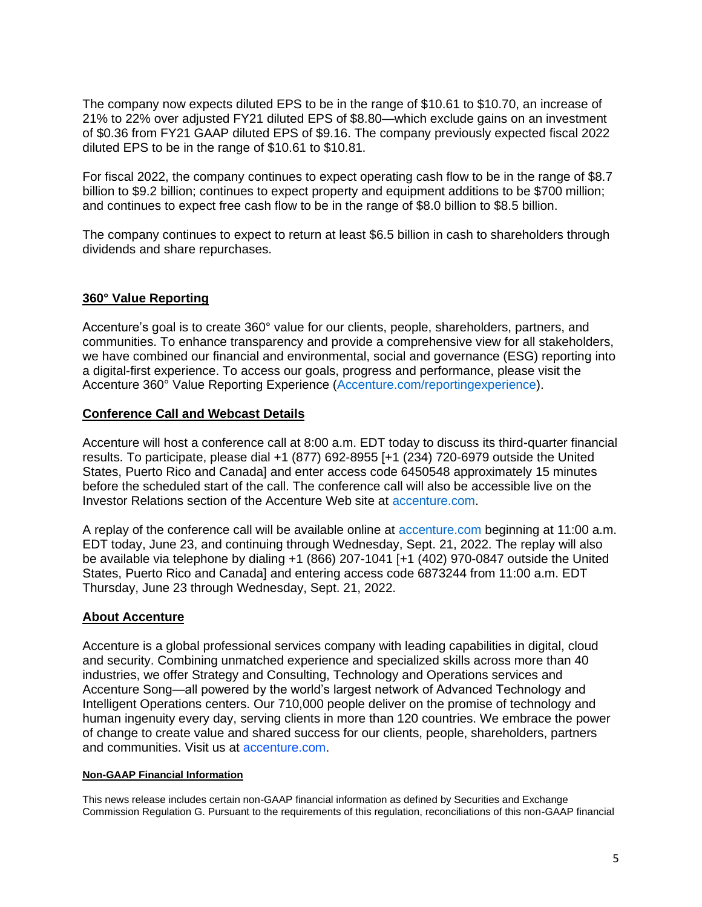The company now expects diluted EPS to be in the range of \$10.61 to \$10.70, an increase of 21% to 22% over adjusted FY21 diluted EPS of \$8.80—which exclude gains on an investment of \$0.36 from FY21 GAAP diluted EPS of \$9.16. The company previously expected fiscal 2022 diluted EPS to be in the range of \$10.61 to \$10.81.

For fiscal 2022, the company continues to expect operating cash flow to be in the range of \$8.7 billion to \$9.2 billion; continues to expect property and equipment additions to be \$700 million; and continues to expect free cash flow to be in the range of \$8.0 billion to \$8.5 billion.

The company continues to expect to return at least \$6.5 billion in cash to shareholders through dividends and share repurchases.

## **360° Value Reporting**

Accenture's goal is to create 360° value for our clients, people, shareholders, partners, and communities. To enhance transparency and provide a comprehensive view for all stakeholders, we have combined our financial and environmental, social and governance (ESG) reporting into a digital-first experience. To access our goals, progress and performance, please visit the Accenture 360° Value Reporting Experience [\(Accenture.com/reportingexperience\)](https://www.accenture.com/reportingexperience).

#### **Conference Call and Webcast Details**

Accenture will host a conference call at 8:00 a.m. EDT today to discuss its third-quarter financial results. To participate, please dial +1 (877) 692-8955 [+1 (234) 720-6979 outside the United States, Puerto Rico and Canada] and enter access code 6450548 approximately 15 minutes before the scheduled start of the call. The conference call will also be accessible live on the Investor Relations section of the Accenture Web site at [accenture.com.](http://www.accenture.com/)

A replay of the conference call will be available online at [accenture.com](http://www.accenture.com/) beginning at 11:00 a.m. EDT today, June 23, and continuing through Wednesday, Sept. 21, 2022. The replay will also be available via telephone by dialing +1 (866) 207-1041 [+1 (402) 970-0847 outside the United States, Puerto Rico and Canada] and entering access code 6873244 from 11:00 a.m. EDT Thursday, June 23 through Wednesday, Sept. 21, 2022.

#### **About Accenture**

Accenture is a global professional services company with leading capabilities in digital, cloud and security. Combining unmatched experience and specialized skills across more than 40 industries, we offer Strategy and Consulting, Technology and Operations services and Accenture Song—all powered by the world's largest network of Advanced Technology and Intelligent Operations centers. Our 710,000 people deliver on the promise of technology and human ingenuity every day, serving clients in more than 120 countries. We embrace the power of change to create value and shared success for our clients, people, shareholders, partners and communities. Visit us at [accenture.com.](http://www.accenture.com/)

#### **Non-GAAP Financial Information**

This news release includes certain non-GAAP financial information as defined by Securities and Exchange Commission Regulation G. Pursuant to the requirements of this regulation, reconciliations of this non-GAAP financial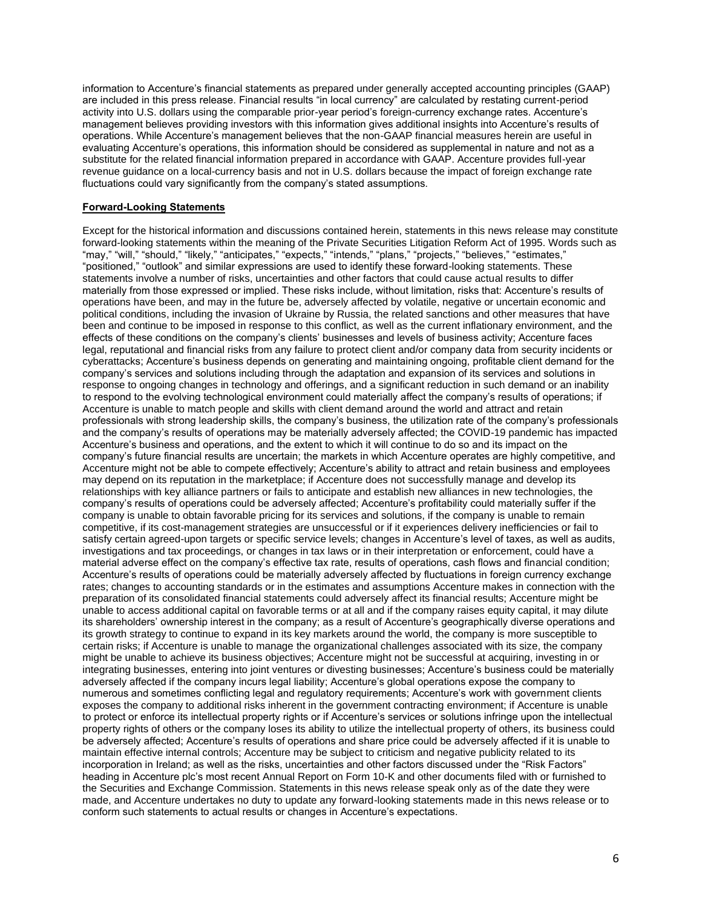information to Accenture's financial statements as prepared under generally accepted accounting principles (GAAP) are included in this press release. Financial results "in local currency" are calculated by restating current-period activity into U.S. dollars using the comparable prior-year period's foreign-currency exchange rates. Accenture's management believes providing investors with this information gives additional insights into Accenture's results of operations. While Accenture's management believes that the non-GAAP financial measures herein are useful in evaluating Accenture's operations, this information should be considered as supplemental in nature and not as a substitute for the related financial information prepared in accordance with GAAP. Accenture provides full-year revenue guidance on a local-currency basis and not in U.S. dollars because the impact of foreign exchange rate fluctuations could vary significantly from the company's stated assumptions.

#### **Forward-Looking Statements**

Except for the historical information and discussions contained herein, statements in this news release may constitute forward-looking statements within the meaning of the Private Securities Litigation Reform Act of 1995. Words such as "may," "will," "should," "likely," "anticipates," "expects," "intends," "plans," "projects," "believes," "estimates," "positioned," "outlook" and similar expressions are used to identify these forward-looking statements. These statements involve a number of risks, uncertainties and other factors that could cause actual results to differ materially from those expressed or implied. These risks include, without limitation, risks that: Accenture's results of operations have been, and may in the future be, adversely affected by volatile, negative or uncertain economic and political conditions, including the invasion of Ukraine by Russia, the related sanctions and other measures that have been and continue to be imposed in response to this conflict, as well as the current inflationary environment, and the effects of these conditions on the company's clients' businesses and levels of business activity; Accenture faces legal, reputational and financial risks from any failure to protect client and/or company data from security incidents or cyberattacks; Accenture's business depends on generating and maintaining ongoing, profitable client demand for the company's services and solutions including through the adaptation and expansion of its services and solutions in response to ongoing changes in technology and offerings, and a significant reduction in such demand or an inability to respond to the evolving technological environment could materially affect the company's results of operations; if Accenture is unable to match people and skills with client demand around the world and attract and retain professionals with strong leadership skills, the company's business, the utilization rate of the company's professionals and the company's results of operations may be materially adversely affected; the COVID-19 pandemic has impacted Accenture's business and operations, and the extent to which it will continue to do so and its impact on the company's future financial results are uncertain; the markets in which Accenture operates are highly competitive, and Accenture might not be able to compete effectively; Accenture's ability to attract and retain business and employees may depend on its reputation in the marketplace; if Accenture does not successfully manage and develop its relationships with key alliance partners or fails to anticipate and establish new alliances in new technologies, the company's results of operations could be adversely affected; Accenture's profitability could materially suffer if the company is unable to obtain favorable pricing for its services and solutions, if the company is unable to remain competitive, if its cost-management strategies are unsuccessful or if it experiences delivery inefficiencies or fail to satisfy certain agreed-upon targets or specific service levels; changes in Accenture's level of taxes, as well as audits, investigations and tax proceedings, or changes in tax laws or in their interpretation or enforcement, could have a material adverse effect on the company's effective tax rate, results of operations, cash flows and financial condition; Accenture's results of operations could be materially adversely affected by fluctuations in foreign currency exchange rates; changes to accounting standards or in the estimates and assumptions Accenture makes in connection with the preparation of its consolidated financial statements could adversely affect its financial results; Accenture might be unable to access additional capital on favorable terms or at all and if the company raises equity capital, it may dilute its shareholders' ownership interest in the company; as a result of Accenture's geographically diverse operations and its growth strategy to continue to expand in its key markets around the world, the company is more susceptible to certain risks; if Accenture is unable to manage the organizational challenges associated with its size, the company might be unable to achieve its business objectives; Accenture might not be successful at acquiring, investing in or integrating businesses, entering into joint ventures or divesting businesses; Accenture's business could be materially adversely affected if the company incurs legal liability; Accenture's global operations expose the company to numerous and sometimes conflicting legal and regulatory requirements; Accenture's work with government clients exposes the company to additional risks inherent in the government contracting environment; if Accenture is unable to protect or enforce its intellectual property rights or if Accenture's services or solutions infringe upon the intellectual property rights of others or the company loses its ability to utilize the intellectual property of others, its business could be adversely affected; Accenture's results of operations and share price could be adversely affected if it is unable to maintain effective internal controls; Accenture may be subject to criticism and negative publicity related to its incorporation in Ireland; as well as the risks, uncertainties and other factors discussed under the "Risk Factors" heading in Accenture plc's most recent Annual Report on Form 10-K and other documents filed with or furnished to the Securities and Exchange Commission. Statements in this news release speak only as of the date they were made, and Accenture undertakes no duty to update any forward-looking statements made in this news release or to conform such statements to actual results or changes in Accenture's expectations.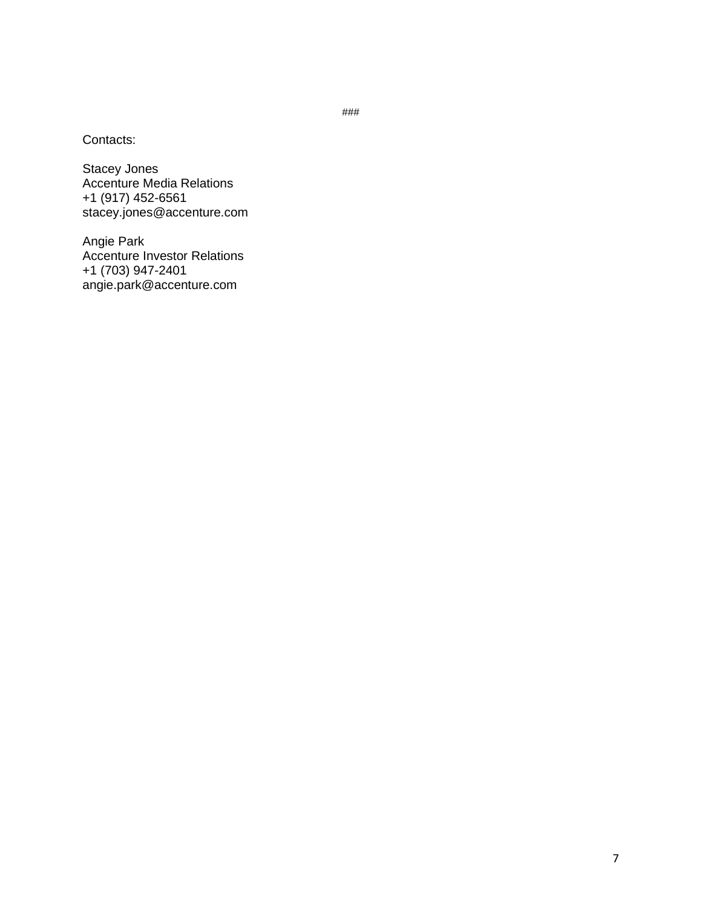###

Contacts:

Stacey Jones Accenture Media Relations +1 (917) 452-6561 stacey.jones@accenture.com

Angie Park Accenture Investor Relations +1 (703) 947-2401 angie.park@accenture.com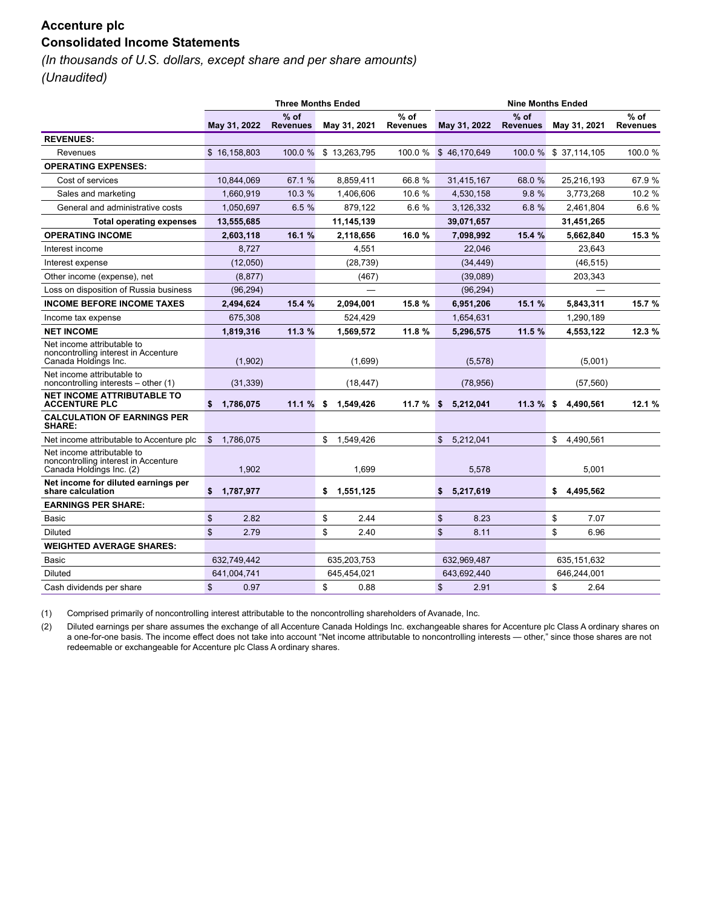## **Accenture plc Consolidated Income Statements**

*(In thousands of U.S. dollars, except share and per share amounts) (Unaudited)*

|                                                                                                |                                   |                           | <b>Three Months Ended</b> |                           |                           |                           |                 |                         |  |  |           |        |
|------------------------------------------------------------------------------------------------|-----------------------------------|---------------------------|---------------------------|---------------------------|---------------------------|---------------------------|-----------------|-------------------------|--|--|-----------|--------|
|                                                                                                | May 31, 2022                      | $%$ of<br><b>Revenues</b> | May 31, 2021              | $%$ of<br><b>Revenues</b> | May 31, 2022              | $%$ of<br><b>Revenues</b> | May 31, 2021    | % of<br><b>Revenues</b> |  |  |           |        |
| <b>REVENUES:</b>                                                                               |                                   |                           |                           |                           |                           |                           |                 |                         |  |  |           |        |
| Revenues                                                                                       | \$16.158.803                      | 100.0 %                   | \$13.263.795              | 100.0 %                   | \$46,170,649              | 100.0 %                   | \$37,114,105    | 100.0 %                 |  |  |           |        |
| <b>OPERATING EXPENSES:</b>                                                                     |                                   |                           |                           |                           |                           |                           |                 |                         |  |  |           |        |
| Cost of services                                                                               | 10,844,069                        | 67.1 %                    | 8,859,411                 | 66.8%                     | 31,415,167                | 68.0 %                    | 25,216,193      | 67.9 %                  |  |  |           |        |
| Sales and marketing                                                                            | 1.660.919                         | 10.3%                     | 1.406.606                 | 10.6 %                    | 4,530,158                 | 9.8%                      | 3,773,268       | 10.2%                   |  |  |           |        |
| General and administrative costs                                                               | 1.050.697                         | 6.5%                      | 879.122                   | 6.6 %                     | 3,126,332                 | 6.8%                      | 2,461,804       | 6.6%                    |  |  |           |        |
| <b>Total operating expenses</b>                                                                | 13,555,685                        |                           | 11,145,139                |                           | 39,071,657                |                           | 31,451,265      |                         |  |  |           |        |
| <b>OPERATING INCOME</b>                                                                        | 2.603.118                         | 16.1 %                    | 2,118,656                 | 16.0%                     | 7.098.992                 | 15.4 %                    | 5.662.840       | 15.3 %                  |  |  |           |        |
| Interest income                                                                                | 8.727                             |                           | 4.551                     |                           | 22.046                    |                           | 23.643          |                         |  |  |           |        |
| Interest expense                                                                               | (12,050)                          |                           | (28, 739)                 |                           | (34, 449)                 |                           | (46, 515)       |                         |  |  |           |        |
| Other income (expense), net                                                                    | (8, 877)                          |                           | (467)                     |                           | (39,089)                  |                           | 203,343         |                         |  |  |           |        |
| Loss on disposition of Russia business                                                         | (96, 294)                         |                           |                           |                           | (96, 294)                 |                           |                 |                         |  |  |           |        |
| <b>INCOME BEFORE INCOME TAXES</b>                                                              | 2,494,624                         | 15.4 %                    | 2,094,001                 | 15.8 %                    | 6,951,206                 |                           | 15.1 %          |                         |  |  | 5,843,311 | 15.7 % |
| Income tax expense                                                                             | 675,308                           |                           | 524,429                   |                           | 1,654,631                 |                           | 1,290,189       |                         |  |  |           |        |
| <b>NET INCOME</b>                                                                              | 1,819,316                         | 11.3 %                    | 1,569,572                 | 11.8 %                    | 5,296,575                 | 11.5 %                    | 4,553,122       | 12.3 %                  |  |  |           |        |
| Net income attributable to<br>noncontrolling interest in Accenture<br>Canada Holdings Inc.     | (1,902)                           |                           | (1,699)                   |                           | (5, 578)                  |                           | (5,001)         |                         |  |  |           |        |
| Net income attributable to<br>noncontrolling interests - other (1)                             | (31, 339)                         |                           | (18, 447)                 |                           | (78, 956)                 |                           | (57, 560)       |                         |  |  |           |        |
| <b>NET INCOME ATTRIBUTABLE TO</b><br><b>ACCENTURE PLC</b>                                      | \$<br>1,786,075                   | 11.1%                     | \$<br>1,549,426           | 11.7 %                    | \$<br>5,212,041           | 11.3 %                    | 4,490,561<br>\$ | 12.1 %                  |  |  |           |        |
| <b>CALCULATION OF EARNINGS PER</b><br><b>SHARE:</b>                                            |                                   |                           |                           |                           |                           |                           |                 |                         |  |  |           |        |
| Net income attributable to Accenture plc                                                       | 1.786.075<br>\$                   |                           | 1.549.426<br>\$           |                           | $\mathbb{S}$<br>5.212.041 |                           | \$4.490.561     |                         |  |  |           |        |
| Net income attributable to<br>noncontrolling interest in Accenture<br>Canada Holdings Inc. (2) | 1.902                             |                           | 1.699                     |                           | 5.578                     |                           | 5,001           |                         |  |  |           |        |
| Net income for diluted earnings per<br>share calculation                                       | \$ 1,787,977                      |                           | \$ 1,551,125              |                           | \$5,217,619               |                           | \$4,495,562     |                         |  |  |           |        |
| <b>EARNINGS PER SHARE:</b>                                                                     |                                   |                           |                           |                           |                           |                           |                 |                         |  |  |           |        |
| <b>Basic</b>                                                                                   | $\boldsymbol{\mathsf{S}}$<br>2.82 |                           | \$<br>2.44                |                           | \$<br>8.23                |                           | \$<br>7.07      |                         |  |  |           |        |
| <b>Diluted</b>                                                                                 | \$<br>2.79                        |                           | \$<br>2.40                |                           | \$<br>8.11                |                           | \$<br>6.96      |                         |  |  |           |        |
| <b>WEIGHTED AVERAGE SHARES:</b>                                                                |                                   |                           |                           |                           |                           |                           |                 |                         |  |  |           |        |
| <b>Basic</b>                                                                                   | 632,749,442                       |                           | 635,203,753               |                           | 632,969,487               |                           | 635, 151, 632   |                         |  |  |           |        |
| <b>Diluted</b>                                                                                 | 641,004,741                       |                           | 645,454,021               |                           | 643,692,440               |                           | 646,244,001     |                         |  |  |           |        |
| Cash dividends per share                                                                       | \$<br>0.97                        |                           | \$<br>0.88                |                           | \$<br>2.91                |                           | \$<br>2.64      |                         |  |  |           |        |

(1) Comprised primarily of noncontrolling interest attributable to the noncontrolling shareholders of Avanade, Inc.

(2) Diluted earnings per share assumes the exchange of all Accenture Canada Holdings Inc. exchangeable shares for Accenture plc Class A ordinary shares on a one-for-one basis. The income effect does not take into account "Net income attributable to noncontrolling interests — other," since those shares are not redeemable or exchangeable for Accenture plc Class A ordinary shares.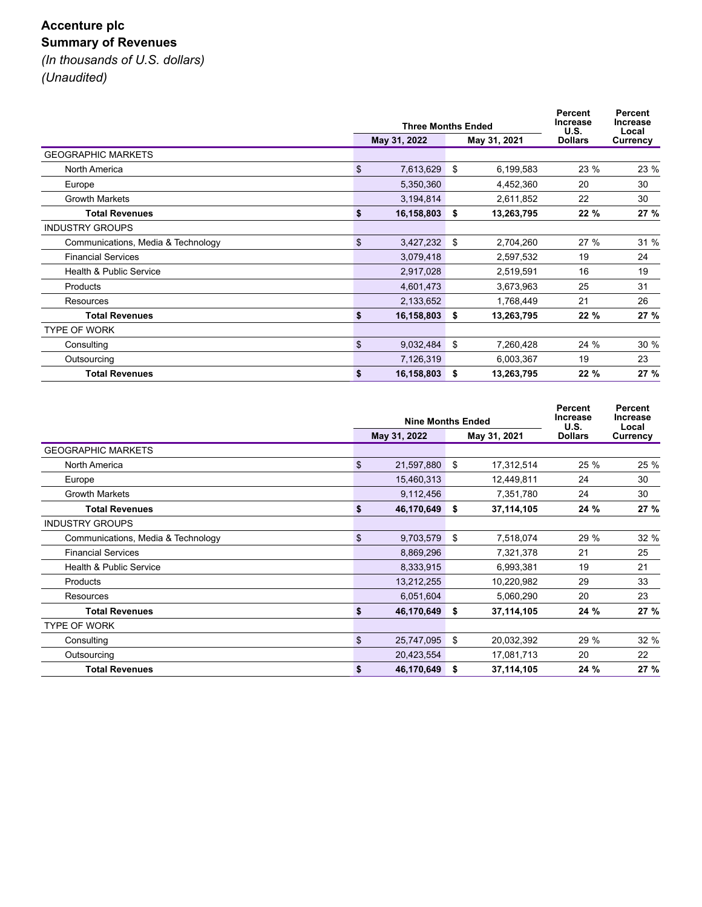## **Accenture plc Summary of Revenues**

*(In thousands of U.S. dollars) (Unaudited)*

|                                    | <b>Three Months Ended</b> | <b>Percent</b><br>Increase | <b>Percent</b><br>Increase |          |  |
|------------------------------------|---------------------------|----------------------------|----------------------------|----------|--|
|                                    |                           |                            | U.S.                       | Local    |  |
|                                    | May 31, 2022              | May 31, 2021               | <b>Dollars</b>             | Currency |  |
| <b>GEOGRAPHIC MARKETS</b>          |                           |                            |                            |          |  |
| North America                      | \$<br>7,613,629           | \$<br>6,199,583            | 23 %                       | 23 %     |  |
| Europe                             | 5,350,360                 | 4,452,360                  | 20                         | 30       |  |
| <b>Growth Markets</b>              | 3,194,814                 | 2,611,852                  | 22                         | 30       |  |
| <b>Total Revenues</b>              | \$<br>16,158,803          | \$<br>13,263,795           | 22 %                       | 27 %     |  |
| <b>INDUSTRY GROUPS</b>             |                           |                            |                            |          |  |
| Communications, Media & Technology | \$<br>3,427,232           | \$<br>2,704,260            | 27 %                       | 31 %     |  |
| <b>Financial Services</b>          | 3,079,418                 | 2,597,532                  | 19                         | 24       |  |
| <b>Health &amp; Public Service</b> | 2,917,028                 | 2,519,591                  | 16                         | 19       |  |
| <b>Products</b>                    | 4,601,473                 | 3,673,963                  | 25                         | 31       |  |
| Resources                          | 2,133,652                 | 1,768,449                  | 21                         | 26       |  |
| <b>Total Revenues</b>              | \$<br>16,158,803          | \$<br>13,263,795           | 22 %                       | 27 %     |  |
| <b>TYPE OF WORK</b>                |                           |                            |                            |          |  |
| Consulting                         | \$<br>9,032,484           | \$<br>7,260,428            | 24 %                       | 30 %     |  |
| Outsourcing                        | 7,126,319                 | 6,003,367                  | 19                         | 23       |  |
| <b>Total Revenues</b>              | \$<br>16,158,803          | \$<br>13,263,795           | 22 %                       | 27 %     |  |

|                                    | <b>Nine Months Ended</b> | <b>Percent</b><br>Increase<br>U.S. | Percent<br>Increase<br>Local |          |
|------------------------------------|--------------------------|------------------------------------|------------------------------|----------|
|                                    | May 31, 2022             | May 31, 2021                       | <b>Dollars</b>               | Currency |
| <b>GEOGRAPHIC MARKETS</b>          |                          |                                    |                              |          |
| North America                      | \$<br>21,597,880         | \$<br>17,312,514                   | 25 %                         | 25 %     |
| Europe                             | 15,460,313               | 12,449,811                         | 24                           | 30       |
| <b>Growth Markets</b>              | 9,112,456                | 7,351,780                          | 24                           | 30       |
| <b>Total Revenues</b>              | \$<br>46,170,649         | \$<br>37,114,105                   | 24 %                         | 27 %     |
| <b>INDUSTRY GROUPS</b>             |                          |                                    |                              |          |
| Communications, Media & Technology | \$<br>9,703,579          | \$<br>7,518,074                    | 29 %                         | 32 %     |
| <b>Financial Services</b>          | 8,869,296                | 7,321,378                          | 21                           | 25       |
| Health & Public Service            | 8,333,915                | 6,993,381                          | 19                           | 21       |
| Products                           | 13,212,255               | 10,220,982                         | 29                           | 33       |
| <b>Resources</b>                   | 6,051,604                | 5,060,290                          | 20                           | 23       |
| <b>Total Revenues</b>              | \$<br>46,170,649         | \$<br>37,114,105                   | 24 %                         | 27 %     |
| <b>TYPE OF WORK</b>                |                          |                                    |                              |          |
| Consulting                         | \$<br>25,747,095         | \$<br>20,032,392                   | 29 %                         | 32 %     |
| Outsourcing                        | 20,423,554               | 17,081,713                         | 20                           | 22       |
| <b>Total Revenues</b>              | \$<br>46,170,649         | \$<br>37,114,105                   | 24 %                         | 27 %     |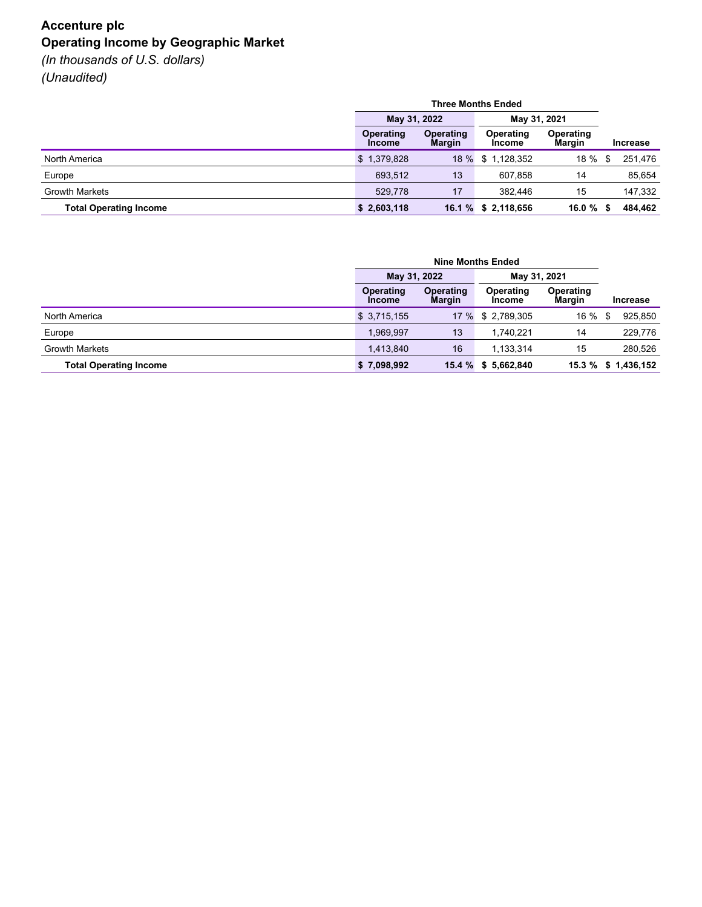# **Accenture plc Operating Income by Geographic Market**

*(In thousands of U.S. dollars) (Unaudited)*

|                               | May 31, 2022                      |                                   | May 31, 2021               |                            |                 |
|-------------------------------|-----------------------------------|-----------------------------------|----------------------------|----------------------------|-----------------|
|                               | <b>Operating</b><br><b>Income</b> | <b>Operating</b><br><b>Margin</b> | Operating<br><b>Income</b> | <b>Operating</b><br>Margin | <b>Increase</b> |
| North America                 | \$1,379,828                       |                                   | 18 % \$ 1,128,352          | 18 %                       | 251,476<br>- \$ |
| Europe                        | 693,512                           | 13                                | 607,858                    | 14                         | 85,654          |
| <b>Growth Markets</b>         | 529,778                           | 17                                | 382.446                    | 15                         | 147,332         |
| <b>Total Operating Income</b> | \$2,603,118                       |                                   | 16.1 % \$ 2,118,656        | 16.0 %                     | 484,462<br>- 55 |

|                               | May 31, 2022               |                                   | May 31, 2021        |                     |                     |
|-------------------------------|----------------------------|-----------------------------------|---------------------|---------------------|---------------------|
|                               | Operating<br><b>Income</b> | <b>Operating</b><br><b>Margin</b> | Operating<br>Income | Operating<br>Margin | <b>Increase</b>     |
| North America                 | \$3,715,155                |                                   | 17 % \$ 2,789,305   | 16 %                | 925,850<br>S        |
| Europe                        | 1.969.997                  | 13                                | 1.740.221           | 14                  | 229,776             |
| <b>Growth Markets</b>         | 1.413.840                  | 16                                | 1.133.314           | 15                  | 280,526             |
| <b>Total Operating Income</b> | \$7,098,992                |                                   | 15.4 % \$ 5,662,840 |                     | 15.3 % \$ 1,436,152 |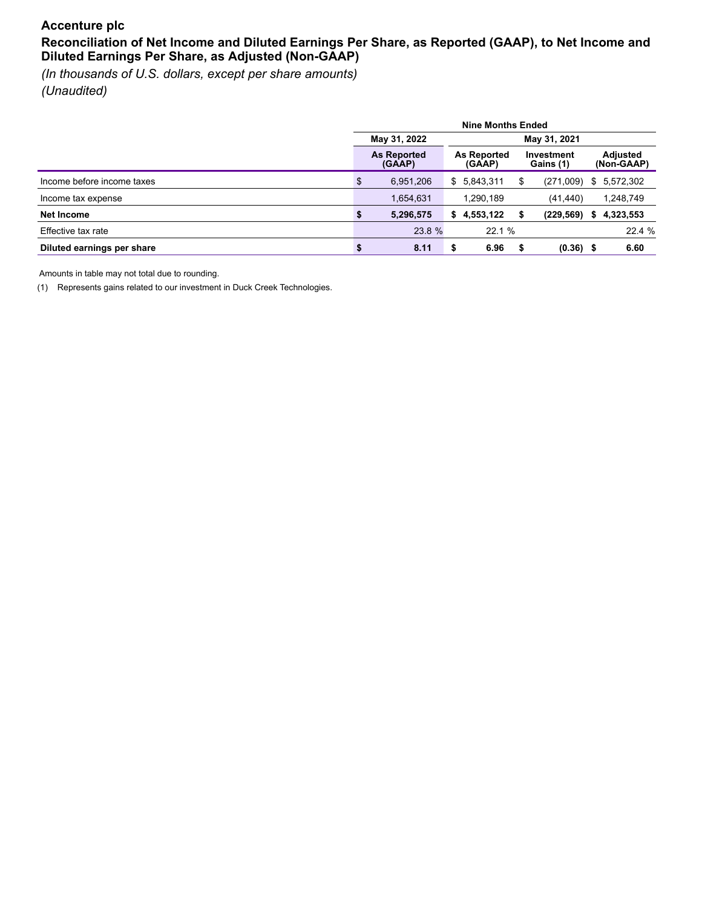## **Accenture plc Reconciliation of Net Income and Diluted Earnings Per Share, as Reported (GAAP), to Net Income and Diluted Earnings Per Share, as Adjusted (Non-GAAP)**

*(In thousands of U.S. dollars, except per share amounts) (Unaudited)*

|                            | <b>Nine Months Ended</b> |                       |    |                              |   |                         |    |                        |  |
|----------------------------|--------------------------|-----------------------|----|------------------------------|---|-------------------------|----|------------------------|--|
|                            | May 31, 2022             |                       |    |                              |   | May 31, 2021            |    |                        |  |
|                            |                          | As Reported<br>(GAAP) |    | <b>As Reported</b><br>(GAAP) |   | Investment<br>Gains (1) |    | Adjusted<br>(Non-GAAP) |  |
| Income before income taxes |                          | 6,951,206             |    | \$5,843,311                  | S | (271,009)               | S. | 5,572,302              |  |
| Income tax expense         |                          | 1,654,631             |    | 1,290,189                    |   | (41, 440)               |    | 1,248,749              |  |
| Net Income                 |                          | 5,296,575             |    | \$4,553,122                  | S | (229, 569)              | s  | 4,323,553              |  |
| Effective tax rate         |                          | 23.8 %                |    | 22.1%                        |   |                         |    | 22.4 %                 |  |
| Diluted earnings per share |                          | 8.11                  | \$ | 6.96                         | S | $(0.36)$ \$             |    | 6.60                   |  |

Amounts in table may not total due to rounding.

(1) Represents gains related to our investment in Duck Creek Technologies.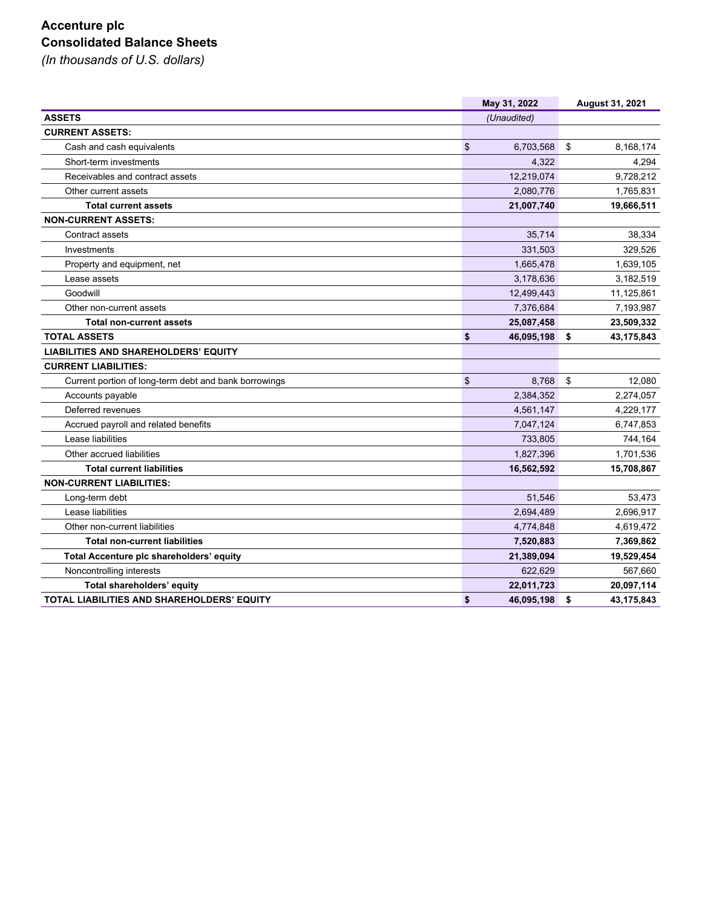## **Accenture plc Consolidated Balance Sheets**

*(In thousands of U.S. dollars)*

|                                                       | May 31, 2022     | August 31, 2021  |
|-------------------------------------------------------|------------------|------------------|
| <b>ASSETS</b>                                         | (Unaudited)      |                  |
| <b>CURRENT ASSETS:</b>                                |                  |                  |
| Cash and cash equivalents                             | \$<br>6,703,568  | \$<br>8,168,174  |
| Short-term investments                                | 4,322            | 4,294            |
| Receivables and contract assets                       | 12,219,074       | 9,728,212        |
| Other current assets                                  | 2,080,776        | 1,765,831        |
| <b>Total current assets</b>                           | 21,007,740       | 19,666,511       |
| <b>NON-CURRENT ASSETS:</b>                            |                  |                  |
| Contract assets                                       | 35,714           | 38,334           |
| Investments                                           | 331,503          | 329,526          |
| Property and equipment, net                           | 1,665,478        | 1,639,105        |
| Lease assets                                          | 3,178,636        | 3,182,519        |
| Goodwill                                              | 12,499,443       | 11,125,861       |
| Other non-current assets                              | 7,376,684        | 7,193,987        |
| <b>Total non-current assets</b>                       | 25,087,458       | 23,509,332       |
| <b>TOTAL ASSETS</b>                                   | \$<br>46,095,198 | \$<br>43,175,843 |
| <b>LIABILITIES AND SHAREHOLDERS' EQUITY</b>           |                  |                  |
| <b>CURRENT LIABILITIES:</b>                           |                  |                  |
| Current portion of long-term debt and bank borrowings | \$<br>8,768      | \$<br>12,080     |
| Accounts payable                                      | 2,384,352        | 2,274,057        |
| Deferred revenues                                     | 4,561,147        | 4,229,177        |
| Accrued payroll and related benefits                  | 7,047,124        | 6,747,853        |
| Lease liabilities                                     | 733,805          | 744,164          |
| Other accrued liabilities                             | 1,827,396        | 1,701,536        |
| <b>Total current liabilities</b>                      | 16,562,592       | 15,708,867       |
| <b>NON-CURRENT LIABILITIES:</b>                       |                  |                  |
| Long-term debt                                        | 51,546           | 53,473           |
| Lease liabilities                                     | 2,694,489        | 2,696,917        |
| Other non-current liabilities                         | 4,774,848        | 4,619,472        |
| <b>Total non-current liabilities</b>                  | 7,520,883        | 7,369,862        |
| Total Accenture plc shareholders' equity              | 21,389,094       | 19,529,454       |
| Noncontrolling interests                              | 622,629          | 567,660          |
| Total shareholders' equity                            | 22,011,723       | 20,097,114       |
| TOTAL LIABILITIES AND SHAREHOLDERS' EQUITY            | \$<br>46,095,198 | \$<br>43,175,843 |